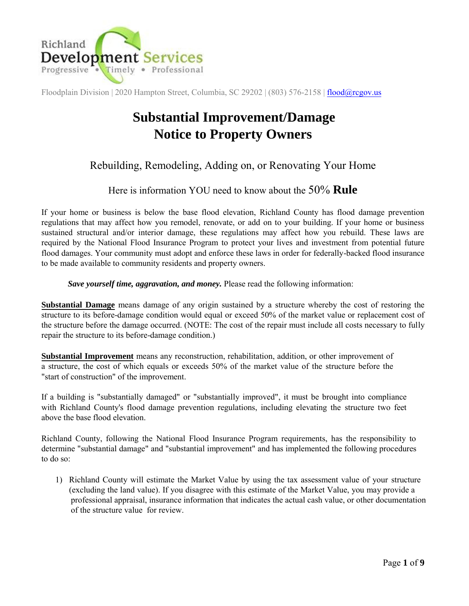

# **Substantial Improvement/Damage Notice to Property Owners**

### Rebuilding, Remodeling, Adding on, or Renovating Your Home

### Here is information YOU need to know about the 50% **Rule**

If your home or business is below the base flood elevation, Richland County has flood damage prevention regulations that may affect how you remodel, renovate, or add on to your building. If your home or business sustained structural and/or interior damage, these regulations may affect how you rebuild. These laws are required by the National Flood Insurance Program to protect your lives and investment from potential future flood damages. Your community must adopt and enforce these laws in order for federally-backed flood insurance to be made available to community residents and property owners.

#### *Save yourself time, aggravation, and money.* Please read the following information:

**Substantial Damage** means damage of any origin sustained by a structure whereby the cost of restoring the structure to its before-damage condition would equal or exceed 50% of the market value or replacement cost of the structure before the damage occurred. (NOTE: The cost of the repair must include all costs necessary to fully repair the structure to its before-damage condition.)

**Substantial Improvement** means any reconstruction, rehabilitation, addition, or other improvement of a structure, the cost of which equals or exceeds 50% of the market value of the structure before the "start of construction" of the improvement.

If a building is "substantially damaged" or "substantially improved", it must be brought into compliance with Richland County's flood damage prevention regulations, including elevating the structure two feet above the base flood elevation.

Richland County, following the National Flood Insurance Program requirements, has the responsibility to determine "substantial damage" and "substantial improvement" and has implemented the following procedures to do so:

1) Richland County will estimate the Market Value by using the tax assessment value of your structure (excluding the land value). If you disagree with this estimate of the Market Value, you may provide a professional appraisal, insurance information that indicates the actual cash value, or other documentation of the structure value for review.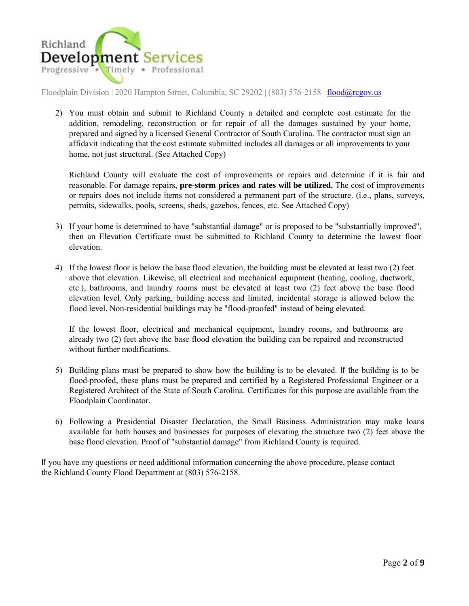

2) You must obtain and submit to Richland County a detailed and complete cost estimate for the addition, remodeling, reconstruction or for repair of all the damages sustained by your home, prepared and signed by a licensed General Contractor of South Carolina. The contractor must sign an affidavit indicating that the cost estimate submitted includes all damages or all improvements to your home, not just structural. (See Attached Copy)

Richland County will evaluate the cost of improvements or repairs and determine if it is fair and reasonable. For damage repairs, **pre-storm prices and rates will be utilized.** The cost of improvements or repairs does not include items not considered a permanent part of the structure. (i.e., plans, surveys, permits, sidewalks, pools, screens, sheds, gazebos, fences, etc. See Attached Copy)

- 3) If your home is determined to have "substantial damage" or is proposed to be "substantially improved", then an Elevation Certificate must be submitted to Richland County to determine the lowest floor elevation.
- 4) If the lowest floor is below the base flood elevation, the building must be elevated at least two (2) feet above that elevation. Likewise, all electrical and mechanical equipment (heating, cooling, ductwork, etc.), bathrooms, and laundry rooms must be elevated at least two (2) feet above the base flood elevation level. Only parking, building access and limited, incidental storage is allowed below the flood level. Non-residential buildings may be "flood-proofed" instead of being elevated.

If the lowest floor, electrical and mechanical equipment, laundry rooms, and bathrooms are already two (2) feet above the base flood elevation the building can be repaired and reconstructed without further modifications.

- 5) Building plans must be prepared to show how the building is to be elevated. If the building is to be flood-proofed, these plans must be prepared and certified by a Registered Professional Engineer or a Registered Architect of the State of South Carolina. Certificates for this purpose are available from the Floodplain Coordinator.
- 6) Following a Presidential Disaster Declaration, the Small Business Administration may make loans available for both houses and businesses for purposes of elevating the structure two (2) feet above the base flood elevation. Proof of "substantial damage" from Richland County is required.

If you have any questions or need additional information concerning the above procedure, please contact the Richland County Flood Department at (803) 576-2158.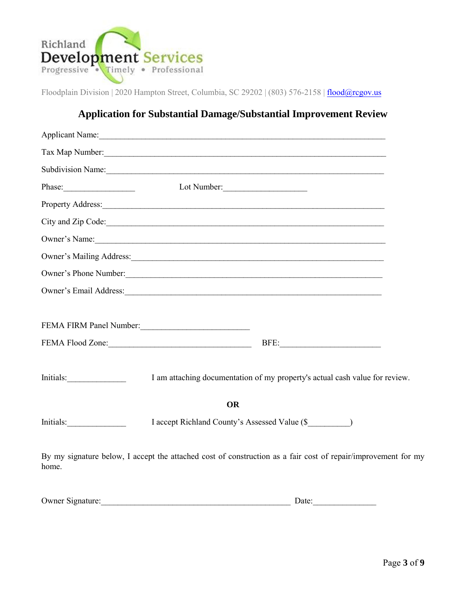

### **Application for Substantial Damage/Substantial Improvement Review**

|                                     | Applicant Name:                                                                                                                                                                                                                |  |
|-------------------------------------|--------------------------------------------------------------------------------------------------------------------------------------------------------------------------------------------------------------------------------|--|
|                                     | Tax Map Number:                                                                                                                                                                                                                |  |
|                                     | Subdivision Name:                                                                                                                                                                                                              |  |
| Phase:                              | Lot Number:                                                                                                                                                                                                                    |  |
|                                     | Property Address:                                                                                                                                                                                                              |  |
|                                     | City and Zip Code:                                                                                                                                                                                                             |  |
|                                     | Owner's Name: 1988. Communication of the Communication of the Communication of the Communication of the Communication of the Communication of the Communication of the Communication of the Communication of the Communication |  |
|                                     |                                                                                                                                                                                                                                |  |
|                                     | Owner's Phone Number:                                                                                                                                                                                                          |  |
|                                     |                                                                                                                                                                                                                                |  |
| FEMA FIRM Panel Number:<br><u> </u> |                                                                                                                                                                                                                                |  |
|                                     | FEMA Flood Zone:<br><u> </u><br>BFE:                                                                                                                                                                                           |  |
|                                     | I am attaching documentation of my property's actual cash value for review.                                                                                                                                                    |  |
|                                     | <b>OR</b>                                                                                                                                                                                                                      |  |
| Initials:                           | I accept Richland County's Assessed Value (\$                                                                                                                                                                                  |  |
| home.                               | By my signature below, I accept the attached cost of construction as a fair cost of repair/improvement for my                                                                                                                  |  |

| <b>Owner Signature:</b> | )ate: |  |
|-------------------------|-------|--|
|                         |       |  |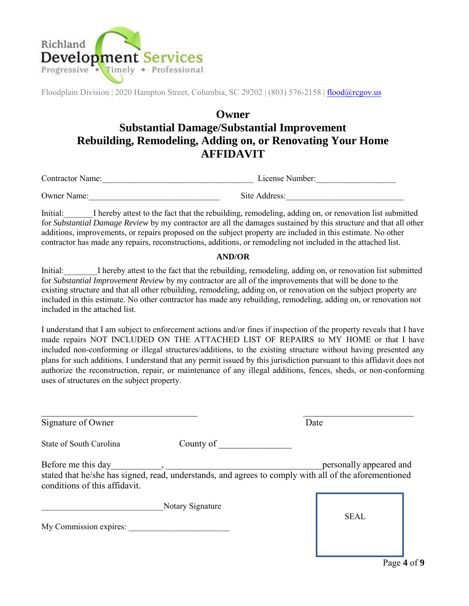

## **Owner Substantial Damage/Substantial Improvement Rebuilding, Remodeling, Adding on, or Renovating Your Home AFFIDAVIT**

Contractor Name:\_\_\_\_\_\_\_\_\_\_\_\_\_\_\_\_\_\_\_\_\_\_\_\_\_\_\_\_\_\_\_\_\_\_\_\_ License Number:\_\_\_\_\_\_\_\_\_\_\_\_\_\_\_\_\_\_\_

Owner Name: The Compact Site Address:

Initial: I hereby attest to the fact that the rebuilding, remodeling, adding on, or renovation list submitted for *Substantial Damage Review* by my contractor are all the damages sustained by this structure and that all other additions, improvements, or repairs proposed on the subject property are included in this estimate. No other contractor has made any repairs, reconstructions, additions, or remodeling not included in the attached list.

#### **AND/OR**

Initial: I hereby attest to the fact that the rebuilding, remodeling, adding on, or renovation list submitted for *Substantial Improvement Review* by my contractor are all of the improvements that will be done to the existing structure and that all other rebuilding, remodeling, adding on, or renovation on the subject property are included in this estimate. No other contractor has made any rebuilding, remodeling, adding on, or renovation not included in the attached list.

I understand that I am subject to enforcement actions and/or fines if inspection of the property reveals that I have made repairs NOT INCLUDED ON THE ATTACHED LIST OF REPAIRS to MY HOME or that I have included non-conforming or illegal structures/additions, to the existing structure without having presented any plans for such additions. I understand that any permit issued by this jurisdiction pursuant to this affidavit does not authorize the reconstruction, repair, or maintenance of any illegal additions, fences, sheds, or non-conforming uses of structures on the subject property.

| Signature of Owner                                  | Date                                                                                                                             |
|-----------------------------------------------------|----------------------------------------------------------------------------------------------------------------------------------|
| County of<br>State of South Carolina                |                                                                                                                                  |
| Before me this day<br>conditions of this affidavit. | personally appeared and<br>stated that he/she has signed, read, understands, and agrees to comply with all of the aforementioned |
| Notary Signature<br>My Commission expires:          | <b>SEAL</b>                                                                                                                      |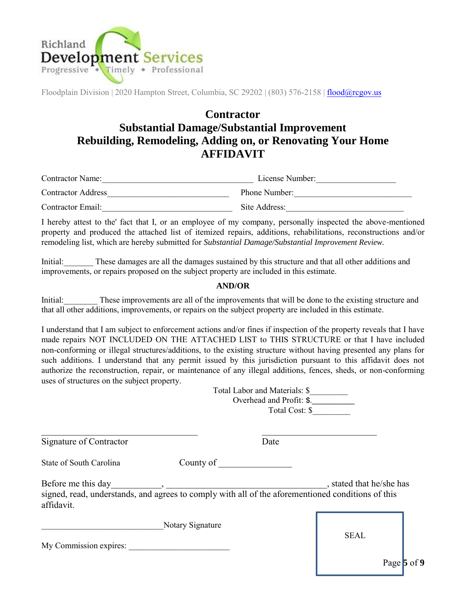

## **Contractor Substantial Damage/Substantial Improvement Rebuilding, Remodeling, Adding on, or Renovating Your Home AFFIDAVIT**

| <b>Contractor Name:</b>   | License Number: |
|---------------------------|-----------------|
| <b>Contractor Address</b> | Phone Number:   |
| Contractor Email:         | Site Address:   |

I hereby attest to the' fact that I, or an employee of my company, personally inspected the above-mentioned property and produced the attached list of itemized repairs, additions, rehabilitations, reconstructions and/or remodeling list, which are hereby submitted for *Substantial Damage/Substantial Improvement Review.*

Initial: These damages are all the damages sustained by this structure and that all other additions and improvements, or repairs proposed on the subject property are included in this estimate.

#### **AND/OR**

Initial: These improvements are all of the improvements that will be done to the existing structure and that all other additions, improvements, or repairs on the subject property are included in this estimate.

I understand that I am subject to enforcement actions and/or fines if inspection of the property reveals that I have made repairs NOT INCLUDED ON THE ATTACHED LIST to THIS STRUCTURE or that I have included non-conforming or illegal structures/additions, to the existing structure without having presented any plans for such additions. I understand that any permit issued by this jurisdiction pursuant to this affidavit does not authorize the reconstruction, repair, or maintenance of any illegal additions, fences, sheds, or non-conforming uses of structures on the subject property. Total Labor and Materials: \$\_\_\_\_\_\_\_\_\_

|                                                                                                                                                                                                                                                                                                                                                                                     | TOIAI LADOI AIIU MAICHAIS. J<br>Overhead and Profit: \$.<br>Total Cost: \$ |                        |             |
|-------------------------------------------------------------------------------------------------------------------------------------------------------------------------------------------------------------------------------------------------------------------------------------------------------------------------------------------------------------------------------------|----------------------------------------------------------------------------|------------------------|-------------|
| Signature of Contractor                                                                                                                                                                                                                                                                                                                                                             | Date                                                                       |                        |             |
| State of South Carolina                                                                                                                                                                                                                                                                                                                                                             | County of                                                                  |                        |             |
| Before me this day<br>$\overline{\phantom{a}}$ , and the contract of the contract of the contract of the contract of the contract of the contract of the contract of the contract of the contract of the contract of the contract of the contract of the contrac<br>signed, read, understands, and agrees to comply with all of the aforementioned conditions of this<br>affidavit. |                                                                            | stated that he/she has |             |
| Notary Signature<br>My Commission expires:                                                                                                                                                                                                                                                                                                                                          |                                                                            | <b>SEAL</b>            |             |
|                                                                                                                                                                                                                                                                                                                                                                                     |                                                                            |                        | Page 5 of 9 |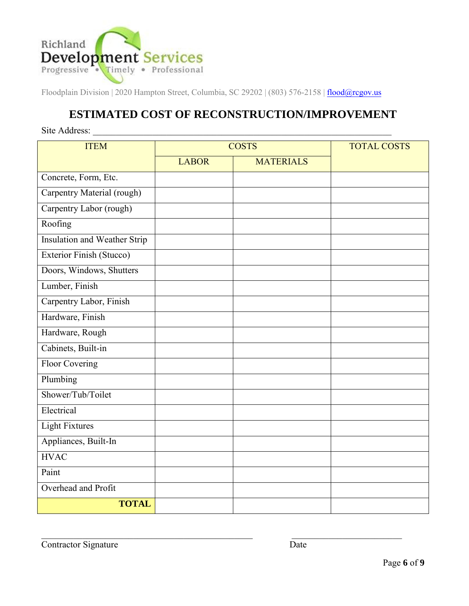

## **ESTIMATED COST OF RECONSTRUCTION/IMPROVEMENT**

| Site Address:                |              |                  |                    |  |
|------------------------------|--------------|------------------|--------------------|--|
| <b>ITEM</b>                  | <b>COSTS</b> |                  | <b>TOTAL COSTS</b> |  |
|                              | <b>LABOR</b> | <b>MATERIALS</b> |                    |  |
| Concrete, Form, Etc.         |              |                  |                    |  |
| Carpentry Material (rough)   |              |                  |                    |  |
| Carpentry Labor (rough)      |              |                  |                    |  |
| Roofing                      |              |                  |                    |  |
| Insulation and Weather Strip |              |                  |                    |  |
| Exterior Finish (Stucco)     |              |                  |                    |  |
| Doors, Windows, Shutters     |              |                  |                    |  |
| Lumber, Finish               |              |                  |                    |  |
| Carpentry Labor, Finish      |              |                  |                    |  |
| Hardware, Finish             |              |                  |                    |  |
| Hardware, Rough              |              |                  |                    |  |
| Cabinets, Built-in           |              |                  |                    |  |
| <b>Floor Covering</b>        |              |                  |                    |  |
| Plumbing                     |              |                  |                    |  |
| Shower/Tub/Toilet            |              |                  |                    |  |
| Electrical                   |              |                  |                    |  |
| <b>Light Fixtures</b>        |              |                  |                    |  |
| Appliances, Built-In         |              |                  |                    |  |
| <b>HVAC</b>                  |              |                  |                    |  |
| Paint                        |              |                  |                    |  |
| Overhead and Profit          |              |                  |                    |  |
| <b>TOTAL</b>                 |              |                  |                    |  |

 $\_$  , and the set of the set of the set of the set of the set of the set of the set of the set of the set of the set of the set of the set of the set of the set of the set of the set of the set of the set of the set of th

Contractor Signature Date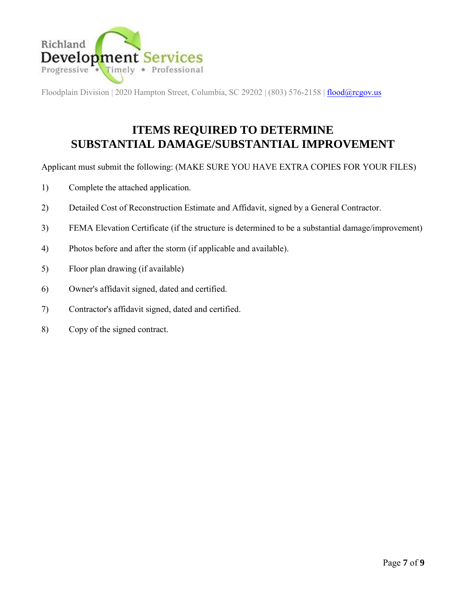

# **ITEMS REQUIRED TO DETERMINE SUBSTANTIAL DAMAGE/SUBSTANTIAL IMPROVEMENT**

Applicant must submit the following: (MAKE SURE YOU HAVE EXTRA COPIES FOR YOUR FILES)

- 1) Complete the attached application.
- 2) Detailed Cost of Reconstruction Estimate and Affidavit, signed by a General Contractor.
- 3) FEMA Elevation Certificate (if the structure is determined to be a substantial damage/improvement)
- 4) Photos before and after the storm (if applicable and available).
- 5) Floor plan drawing (if available)
- 6) Owner's affidavit signed, dated and certified.
- 7) Contractor's affidavit signed, dated and certified.
- 8) Copy of the signed contract.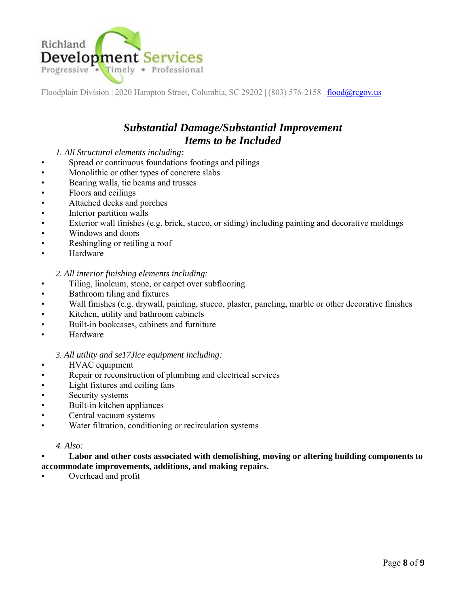

### *Substantial Damage/Substantial Improvement Items to be Included*

#### *1. All Structural elements including:*

- Spread or continuous foundations footings and pilings
- Monolithic or other types of concrete slabs
- Bearing walls, tie beams and trusses
- Floors and ceilings
- Attached decks and porches
- Interior partition walls
- Exterior wall finishes (e.g. brick, stucco, or siding) including painting and decorative moldings
- Windows and doors
- Reshingling or retiling a roof
- **Hardware**

*2. All interior finishing elements including:*

- Tiling, linoleum, stone, or carpet over subflooring
- Bathroom tiling and fixtures
- Wall finishes (e.g. drywall, painting, stucco, plaster, paneling, marble or other decorative finishes
- Kitchen, utility and bathroom cabinets
- Built-in bookcases, cabinets and furniture
- Hardware

#### *3. All utility and se17Jice equipment including:*

- HVAC equipment
- Repair or reconstruction of plumbing and electrical services
- Light fixtures and ceiling fans
- Security systems
- Built-in kitchen appliances
- Central vacuum systems
- Water filtration, conditioning or recirculation systems

#### *4. Also:*

#### • **Labor and other costs associated with demolishing, moving or altering building components to accommodate improvements, additions, and making repairs.**

• Overhead and profit